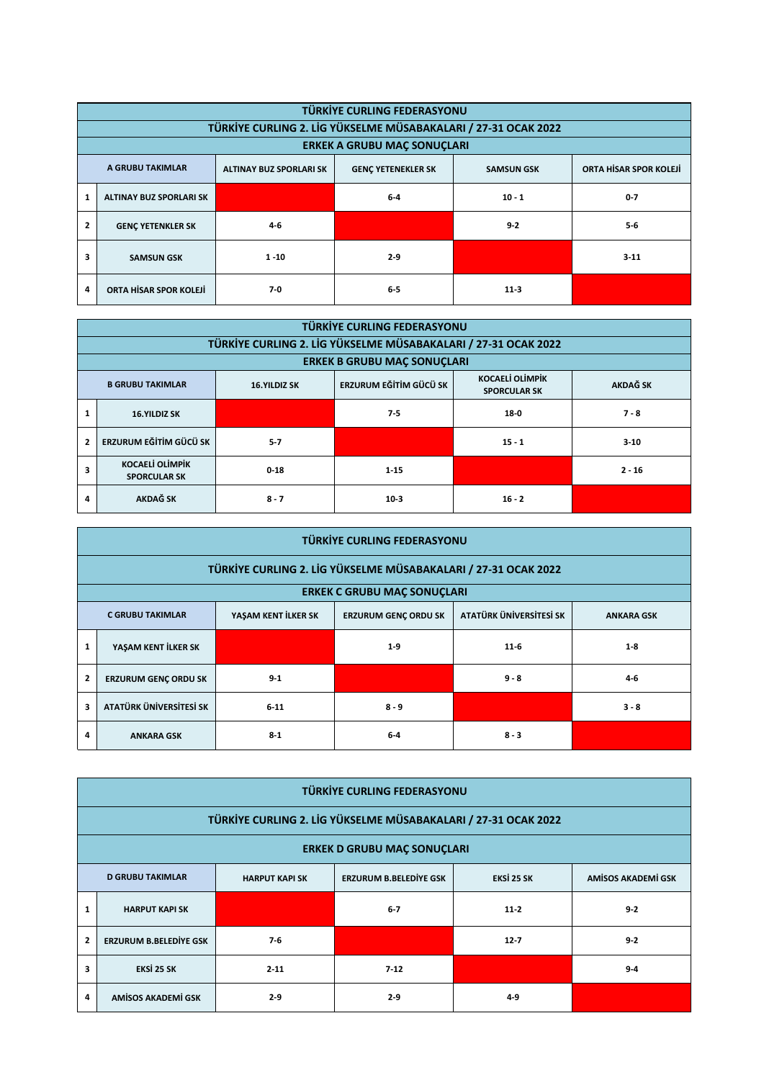|                | TÜRKİYE CURLING FEDERASYONU                                                                                                    |       |         |          |          |  |  |  |  |  |
|----------------|--------------------------------------------------------------------------------------------------------------------------------|-------|---------|----------|----------|--|--|--|--|--|
|                | TÜRKİYE CURLING 2. LİG YÜKSELME MÜSABAKALARI / 27-31 OCAK 2022                                                                 |       |         |          |          |  |  |  |  |  |
|                | <b>ERKEK A GRUBU MAC SONUCLARI</b>                                                                                             |       |         |          |          |  |  |  |  |  |
|                | ORTA HİSAR SPOR KOLEJİ<br>A GRUBU TAKIMLAR<br><b>ALTINAY BUZ SPORLARI SK</b><br><b>GENC YETENEKLER SK</b><br><b>SAMSUN GSK</b> |       |         |          |          |  |  |  |  |  |
| 1              | <b>ALTINAY BUZ SPORLARI SK</b>                                                                                                 |       | $6-4$   | $10 - 1$ | $0 - 7$  |  |  |  |  |  |
| $\overline{2}$ | $4 - 6$<br><b>GENC YETENKLER SK</b>                                                                                            |       |         | $9 - 2$  | $5-6$    |  |  |  |  |  |
| 3              | $1 - 10$<br><b>SAMSUN GSK</b>                                                                                                  |       | $2 - 9$ |          | $3 - 11$ |  |  |  |  |  |
| 4              | ORTA HİSAR SPOR KOLEJİ                                                                                                         | $7-0$ | $6-5$   | $11-3$   |          |  |  |  |  |  |

|                                                                                                                                              | <b>TÜRKİYE CURLING FEDERASYONU</b>                             |          |                                    |          |          |  |  |  |  |  |  |
|----------------------------------------------------------------------------------------------------------------------------------------------|----------------------------------------------------------------|----------|------------------------------------|----------|----------|--|--|--|--|--|--|
|                                                                                                                                              | TÜRKİYE CURLING 2. LİG YÜKSELME MÜSABAKALARI / 27-31 OCAK 2022 |          |                                    |          |          |  |  |  |  |  |  |
|                                                                                                                                              |                                                                |          | <b>ERKEK B GRUBU MAC SONUCLARI</b> |          |          |  |  |  |  |  |  |
| <b>KOCAELİ OLİMPİK</b><br>ERZURUM EĞİTİM GÜCÜ SK<br><b>AKDAĞ SK</b><br><b>B GRUBU TAKIMLAR</b><br><b>16.YILDIZ SK</b><br><b>SPORCULAR SK</b> |                                                                |          |                                    |          |          |  |  |  |  |  |  |
|                                                                                                                                              | <b>16.YILDIZ SK</b>                                            |          | $7 - 5$                            | $18-0$   | $7 - 8$  |  |  |  |  |  |  |
| $\overline{2}$                                                                                                                               | ERZURUM EĞİTİM GÜCÜ SK                                         | $5 - 7$  |                                    | $15 - 1$ | $3 - 10$ |  |  |  |  |  |  |
|                                                                                                                                              | <b>KOCAELİ OLİMPİK</b><br><b>SPORCULAR SK</b>                  | $0 - 18$ | $1 - 15$                           |          | $2 - 16$ |  |  |  |  |  |  |
| 4                                                                                                                                            | AKDAĞ SK                                                       | $8 - 7$  | $10-3$                             | $16 - 2$ |          |  |  |  |  |  |  |

|                                                                                                                               | TÜRKİYE CURLING FEDERASYONU                                    |         |         |         |         |  |  |  |  |  |
|-------------------------------------------------------------------------------------------------------------------------------|----------------------------------------------------------------|---------|---------|---------|---------|--|--|--|--|--|
|                                                                                                                               | TÜRKİYE CURLING 2. LİG YÜKSELME MÜSABAKALARI / 27-31 OCAK 2022 |         |         |         |         |  |  |  |  |  |
|                                                                                                                               | <b>ERKEK C GRUBU MAC SONUCLARI</b>                             |         |         |         |         |  |  |  |  |  |
| YAŞAM KENT İLKER SK<br>ATATÜRK ÜNİVERSİTESİ SK<br><b>C GRUBU TAKIMLAR</b><br><b>ERZURUM GENC ORDU SK</b><br><b>ANKARA GSK</b> |                                                                |         |         |         |         |  |  |  |  |  |
| 1                                                                                                                             | YASAM KENT İLKER SK                                            |         | $1-9$   | $11-6$  | $1 - 8$ |  |  |  |  |  |
| $\overline{2}$                                                                                                                | <b>ERZURUM GENC ORDU SK</b>                                    | $9 - 1$ |         | $9 - 8$ | $4 - 6$ |  |  |  |  |  |
| 3                                                                                                                             | ATATÜRK ÜNİVERSİTESİ SK<br>$6 - 11$                            |         | $8 - 9$ |         | $3 - 8$ |  |  |  |  |  |
|                                                                                                                               | <b>ANKARA GSK</b>                                              | $8 - 1$ | $6-4$   | $8 - 3$ |         |  |  |  |  |  |

|                | TÜRKİYE CURLING FEDERASYONU                                    |                       |                               |            |                    |  |  |  |  |  |
|----------------|----------------------------------------------------------------|-----------------------|-------------------------------|------------|--------------------|--|--|--|--|--|
|                | TÜRKİYE CURLING 2. LİG YÜKSELME MÜSABAKALARI / 27-31 OCAK 2022 |                       |                               |            |                    |  |  |  |  |  |
|                | <b>ERKEK D GRUBU MAÇ SONUÇLARI</b>                             |                       |                               |            |                    |  |  |  |  |  |
|                | <b>D GRUBU TAKIMLAR</b>                                        | <b>HARPUT KAPI SK</b> | <b>ERZURUM B.BELEDİYE GSK</b> | EKSİ 25 SK | AMISOS AKADEMI GSK |  |  |  |  |  |
|                | <b>HARPUT KAPI SK</b>                                          |                       | $6 - 7$                       | $11-2$     | $9 - 2$            |  |  |  |  |  |
| $\overline{2}$ | <b>ERZURUM B.BELEDİYE GSK</b>                                  | $7-6$                 |                               | $12 - 7$   | $9 - 2$            |  |  |  |  |  |
| 3              | EKSİ 25 SK                                                     | $2 - 11$              | $7-12$                        |            | $9 - 4$            |  |  |  |  |  |
| 4              | AMISOS AKADEMI GSK                                             | $2-9$                 | $2-9$                         | $4 - 9$    |                    |  |  |  |  |  |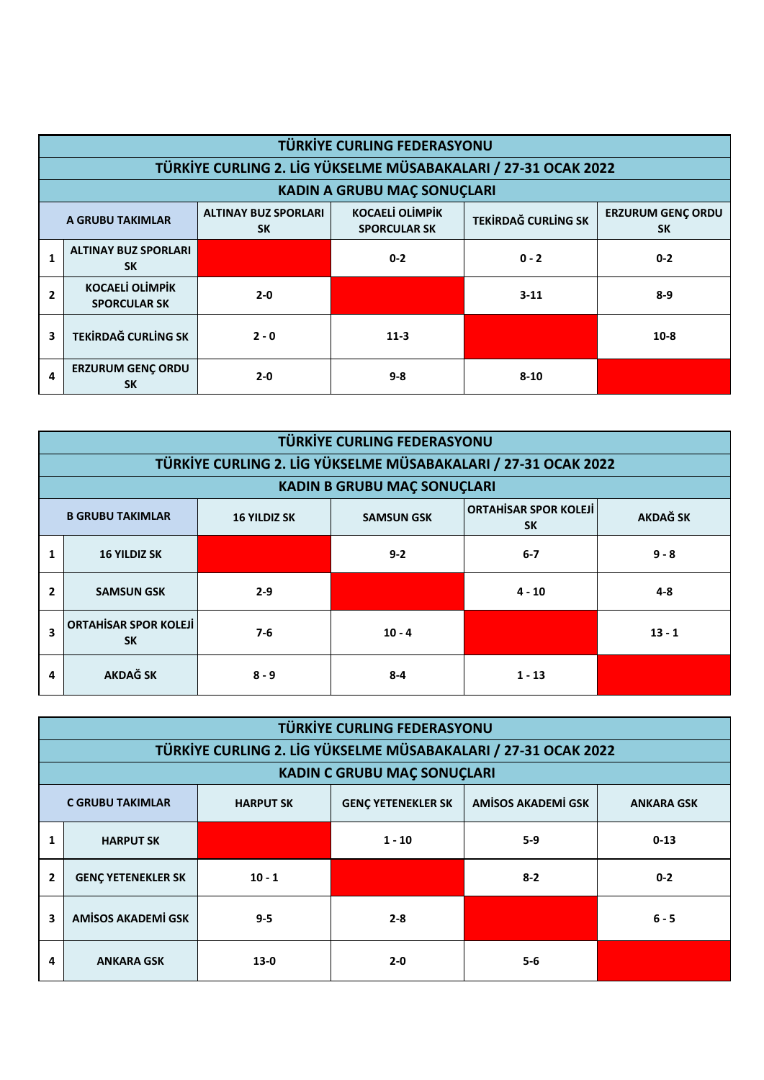|              | <b>TÜRKİYE CURLING FEDERASYONU</b>                             |                            |                                       |          |         |  |  |  |  |  |  |
|--------------|----------------------------------------------------------------|----------------------------|---------------------------------------|----------|---------|--|--|--|--|--|--|
|              | TÜRKİYE CURLING 2. LİG YÜKSELME MÜSABAKALARI / 27-31 OCAK 2022 |                            |                                       |          |         |  |  |  |  |  |  |
|              | <b>KADIN A GRUBU MAÇ SONUÇLARI</b>                             |                            |                                       |          |         |  |  |  |  |  |  |
|              | A GRUBU TAKIMLAR                                               | <b>TEKİRDAĞ CURLİNG SK</b> | <b>ERZURUM GENÇ ORDU</b><br><b>SK</b> |          |         |  |  |  |  |  |  |
| $\mathbf{1}$ | <b>ALTINAY BUZ SPORLARI</b><br><b>SK</b>                       |                            | $0 - 2$                               | $0 - 2$  | $0 - 2$ |  |  |  |  |  |  |
| 2            | <b>KOCAELİ OLİMPİK</b><br><b>SPORCULAR SK</b>                  | $2 - 0$                    |                                       | $3 - 11$ | $8-9$   |  |  |  |  |  |  |
| 3            | <b>TEKİRDAĞ CURLİNG SK</b>                                     | $2 - 0$                    | $11-3$                                |          | $10-8$  |  |  |  |  |  |  |
| 4            | <b>ERZURUM GENC ORDU</b><br><b>SK</b>                          | $2 - 0$                    | $9 - 8$                               | $8 - 10$ |         |  |  |  |  |  |  |

|                                                                                                                                     | <b>TÜRKİYE CURLING FEDERASYONU</b>                             |         |          |          |          |  |  |  |  |  |  |
|-------------------------------------------------------------------------------------------------------------------------------------|----------------------------------------------------------------|---------|----------|----------|----------|--|--|--|--|--|--|
|                                                                                                                                     | TÜRKİYE CURLING 2. LİG YÜKSELME MÜSABAKALARI / 27-31 OCAK 2022 |         |          |          |          |  |  |  |  |  |  |
|                                                                                                                                     | <b>KADIN B GRUBU MAÇ SONUÇLARI</b>                             |         |          |          |          |  |  |  |  |  |  |
| <b>ORTAHISAR SPOR KOLEJI</b><br><b>AKDAĞ SK</b><br><b>B GRUBU TAKIMLAR</b><br><b>SAMSUN GSK</b><br><b>16 YILDIZ SK</b><br><b>SK</b> |                                                                |         |          |          |          |  |  |  |  |  |  |
| 1                                                                                                                                   | <b>16 YILDIZ SK</b>                                            |         | $9 - 2$  | $6 - 7$  | $9 - 8$  |  |  |  |  |  |  |
| $\overline{2}$                                                                                                                      | <b>SAMSUN GSK</b>                                              | $2 - 9$ |          | $4 - 10$ | $4 - 8$  |  |  |  |  |  |  |
| $\overline{\mathbf{3}}$                                                                                                             | <b>ORTAHISAR SPOR KOLEJI</b><br><b>SK</b>                      | $7-6$   | $10 - 4$ |          | $13 - 1$ |  |  |  |  |  |  |
| 4                                                                                                                                   | <b>AKDAĞ SK</b>                                                | $8 - 9$ | $8 - 4$  | $1 - 13$ |          |  |  |  |  |  |  |

|                                                                                                                     | <b>TÜRKİYE CURLING FEDERASYONU</b>                             |          |          |         |          |  |  |  |  |  |
|---------------------------------------------------------------------------------------------------------------------|----------------------------------------------------------------|----------|----------|---------|----------|--|--|--|--|--|
|                                                                                                                     | TÜRKİYE CURLING 2. LİG YÜKSELME MÜSABAKALARI / 27-31 OCAK 2022 |          |          |         |          |  |  |  |  |  |
|                                                                                                                     | <b>KADIN C GRUBU MAÇ SONUÇLARI</b>                             |          |          |         |          |  |  |  |  |  |
| <b>AMÍSOS AKADEMÍ GSK</b><br>C GRUBU TAKIMLAR<br><b>GENÇ YETENEKLER SK</b><br><b>HARPUT SK</b><br><b>ANKARA GSK</b> |                                                                |          |          |         |          |  |  |  |  |  |
| 1                                                                                                                   | <b>HARPUT SK</b>                                               |          | $1 - 10$ | $5-9$   | $0 - 13$ |  |  |  |  |  |
| $\overline{2}$                                                                                                      | <b>GENC YETENEKLER SK</b>                                      | $10 - 1$ |          | $8 - 2$ | $0 - 2$  |  |  |  |  |  |
| 3                                                                                                                   | <b>AMÍSOS AKADEMÍ GSK</b><br>$9 - 5$                           |          | $2 - 8$  |         | $6 - 5$  |  |  |  |  |  |
| 4                                                                                                                   | <b>ANKARA GSK</b>                                              | $13-0$   | $2 - 0$  | $5 - 6$ |          |  |  |  |  |  |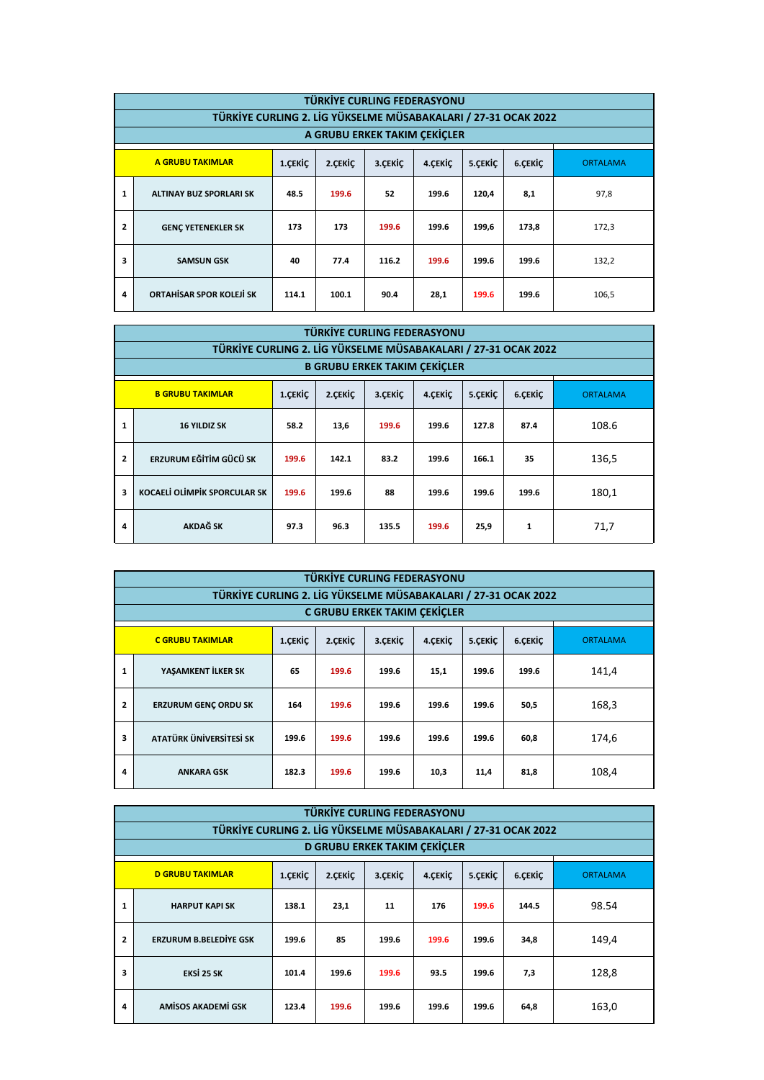|                | TÜRKİYE CURLING FEDERASYONU                                                         |       |                              |       |       |       |       |                 |  |  |
|----------------|-------------------------------------------------------------------------------------|-------|------------------------------|-------|-------|-------|-------|-----------------|--|--|
|                | TÜRKİYE CURLING 2. LİG YÜKSELME MÜSABAKALARI / 27-31 OCAK 2022                      |       |                              |       |       |       |       |                 |  |  |
|                |                                                                                     |       | A GRUBU ERKEK TAKIM CEKICLER |       |       |       |       |                 |  |  |
|                | A GRUBU TAKIMLAR<br>6.ÇEKİÇ<br>2.CEKIC<br>3. ÇEKİÇ<br>4.CEKİC<br>1.ÇEKİÇ<br>5.CEKİC |       |                              |       |       |       |       | <b>ORTALAMA</b> |  |  |
| 1              | <b>ALTINAY BUZ SPORLARI SK</b>                                                      | 48.5  | 199.6                        | 52    | 199.6 | 120,4 | 8,1   | 97,8            |  |  |
| $\overline{2}$ | <b>GENC YETENEKLER SK</b>                                                           | 173   | 173                          | 199.6 | 199.6 | 199,6 | 173,8 | 172,3           |  |  |
| 3              | <b>SAMSUN GSK</b>                                                                   | 40    | 77.4                         | 116.2 | 199.6 | 199.6 | 199.6 | 132,2           |  |  |
| 4              | ORTAHISAR SPOR KOLEJI SK                                                            | 114.1 | 100.1                        | 90.4  | 28,1  | 199.6 | 199.6 | 106,5           |  |  |

|                | <b>TÜRKİYE CURLING FEDERASYONU</b>                                                         |       |       |       |       |       |       |                 |  |  |
|----------------|--------------------------------------------------------------------------------------------|-------|-------|-------|-------|-------|-------|-----------------|--|--|
|                | TÜRKİYE CURLING 2. LİG YÜKSELME MÜSABAKALARI / 27-31 OCAK 2022                             |       |       |       |       |       |       |                 |  |  |
|                | <b>B GRUBU ERKEK TAKIM CEKICLER</b>                                                        |       |       |       |       |       |       |                 |  |  |
|                | <b>B GRUBU TAKIMLAR</b><br>3.CEKİC<br>1.CEKİC<br>2. ÇEKİÇ<br>4.CEKİC<br>5.CEKİC<br>6.ÇEKİÇ |       |       |       |       |       |       | <b>ORTALAMA</b> |  |  |
| 1              | <b>16 YILDIZ SK</b>                                                                        | 58.2  | 13,6  | 199.6 | 199.6 | 127.8 | 87.4  | 108.6           |  |  |
| $\overline{2}$ | ERZURUM EĞİTİM GÜCÜ SK                                                                     | 199.6 | 142.1 | 83.2  | 199.6 | 166.1 | 35    | 136,5           |  |  |
| 3              | KOCAELİ OLİMPİK SPORCULAR SK                                                               | 199.6 | 199.6 | 88    | 199.6 | 199.6 | 199.6 | 180,1           |  |  |
| 4              | AKDAĞ SK                                                                                   | 97.3  | 96.3  | 135.5 | 199.6 | 25,9  | 1     | 71,7            |  |  |

|                | <b>TÜRKİYE CURLING FEDERASYONU</b>                                                        |       |                                     |       |       |       |       |                 |  |  |
|----------------|-------------------------------------------------------------------------------------------|-------|-------------------------------------|-------|-------|-------|-------|-----------------|--|--|
|                | TÜRKİYE CURLING 2. LİG YÜKSELME MÜSABAKALARI / 27-31 OCAK 2022                            |       |                                     |       |       |       |       |                 |  |  |
|                |                                                                                           |       | <b>C GRUBU ERKEK TAKIM CEKICLER</b> |       |       |       |       |                 |  |  |
|                | <b>C GRUBU TAKIMLAR</b><br>2.CEKIC<br>6.ÇEKİÇ<br>1.CEKİC<br>3.CEKIC<br>4.CEKİÇ<br>5.CEKİC |       |                                     |       |       |       |       | <b>ORTALAMA</b> |  |  |
| 1              | YASAMKENT İLKER SK                                                                        | 65    | 199.6                               | 199.6 | 15,1  | 199.6 | 199.6 | 141,4           |  |  |
| $\overline{2}$ | <b>ERZURUM GENC ORDU SK</b>                                                               | 164   | 199.6                               | 199.6 | 199.6 | 199.6 | 50,5  | 168,3           |  |  |
| 3              | ATATÜRK ÜNİVERSİTESİ SK                                                                   | 199.6 | 199.6                               | 199.6 | 199.6 | 199.6 | 60,8  | 174,6           |  |  |
| 4              | <b>ANKARA GSK</b>                                                                         | 182.3 | 199.6                               | 199.6 | 10,3  | 11,4  | 81,8  | 108,4           |  |  |

|                | <b>TÜRKİYE CURLING FEDERASYONU</b>                                                        |       |       |       |       |       |                 |       |  |  |
|----------------|-------------------------------------------------------------------------------------------|-------|-------|-------|-------|-------|-----------------|-------|--|--|
|                | TÜRKİYE CURLING 2. LİG YÜKSELME MÜSABAKALARI / 27-31 OCAK 2022                            |       |       |       |       |       |                 |       |  |  |
|                | <b>D GRUBU ERKEK TAKIM CEKICLER</b>                                                       |       |       |       |       |       |                 |       |  |  |
|                | <b>D GRUBU TAKIMLAR</b><br>2.CEKIC<br>6.ÇEKİÇ<br>1.CEKİC<br>3.CEKIC<br>4.CEKİC<br>5.CEKİC |       |       |       |       |       | <b>ORTALAMA</b> |       |  |  |
| 1              | <b>HARPUT KAPI SK</b>                                                                     | 138.1 | 23,1  | 11    | 176   | 199.6 | 144.5           | 98.54 |  |  |
| $\overline{2}$ | <b>ERZURUM B.BELEDİYE GSK</b>                                                             | 199.6 | 85    | 199.6 | 199.6 | 199.6 | 34,8            | 149,4 |  |  |
| 3              | EKSİ 25 SK                                                                                | 101.4 | 199.6 | 199.6 | 93.5  | 199.6 | 7,3             | 128,8 |  |  |
| 4              | AMÍSOS AKADEMÍ GSK                                                                        | 123.4 | 199.6 | 199.6 | 199.6 | 199.6 | 64,8            | 163,0 |  |  |